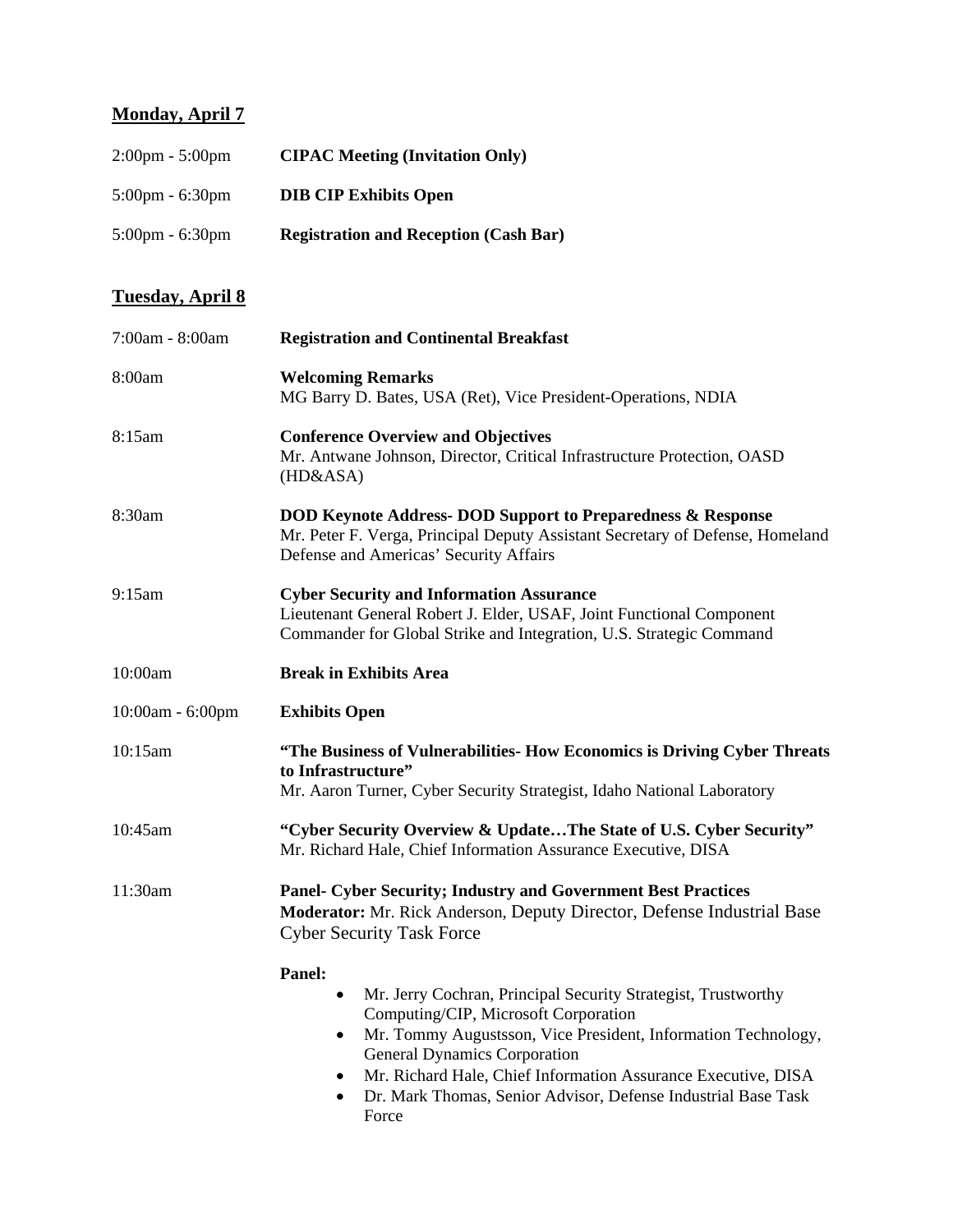## **Monday, April 7**

| $2:00 \text{pm} - 5:00 \text{pm}$ | <b>CIPAC Meeting (Invitation Only)</b>       |
|-----------------------------------|----------------------------------------------|
| $5:00 \text{pm} - 6:30 \text{pm}$ | <b>DIB CIP Exhibits Open</b>                 |
| $5:00 \text{pm} - 6:30 \text{pm}$ | <b>Registration and Reception (Cash Bar)</b> |

## **Tuesday, April 8**

| 7:00am - 8:00am  | <b>Registration and Continental Breakfast</b>                                                                                                                                                                                                                                                                                                                                                             |
|------------------|-----------------------------------------------------------------------------------------------------------------------------------------------------------------------------------------------------------------------------------------------------------------------------------------------------------------------------------------------------------------------------------------------------------|
| 8:00am           | <b>Welcoming Remarks</b><br>MG Barry D. Bates, USA (Ret), Vice President-Operations, NDIA                                                                                                                                                                                                                                                                                                                 |
| 8:15am           | <b>Conference Overview and Objectives</b><br>Mr. Antwane Johnson, Director, Critical Infrastructure Protection, OASD<br>(HD&ASA)                                                                                                                                                                                                                                                                          |
| 8:30am           | <b>DOD Keynote Address- DOD Support to Preparedness &amp; Response</b><br>Mr. Peter F. Verga, Principal Deputy Assistant Secretary of Defense, Homeland<br>Defense and Americas' Security Affairs                                                                                                                                                                                                         |
| 9:15am           | <b>Cyber Security and Information Assurance</b><br>Lieutenant General Robert J. Elder, USAF, Joint Functional Component<br>Commander for Global Strike and Integration, U.S. Strategic Command                                                                                                                                                                                                            |
| 10:00am          | <b>Break in Exhibits Area</b>                                                                                                                                                                                                                                                                                                                                                                             |
| 10:00am - 6:00pm | <b>Exhibits Open</b>                                                                                                                                                                                                                                                                                                                                                                                      |
| 10:15am          | "The Business of Vulnerabilities- How Economics is Driving Cyber Threats<br>to Infrastructure"<br>Mr. Aaron Turner, Cyber Security Strategist, Idaho National Laboratory                                                                                                                                                                                                                                  |
| 10:45am          | "Cyber Security Overview & UpdateThe State of U.S. Cyber Security"<br>Mr. Richard Hale, Chief Information Assurance Executive, DISA                                                                                                                                                                                                                                                                       |
| 11:30am          | <b>Panel- Cyber Security; Industry and Government Best Practices</b><br>Moderator: Mr. Rick Anderson, Deputy Director, Defense Industrial Base<br><b>Cyber Security Task Force</b>                                                                                                                                                                                                                        |
|                  | Panel:<br>Mr. Jerry Cochran, Principal Security Strategist, Trustworthy<br>Computing/CIP, Microsoft Corporation<br>Mr. Tommy Augustsson, Vice President, Information Technology,<br>$\bullet$<br><b>General Dynamics Corporation</b><br>Mr. Richard Hale, Chief Information Assurance Executive, DISA<br>$\bullet$<br>Dr. Mark Thomas, Senior Advisor, Defense Industrial Base Task<br>$\bullet$<br>Force |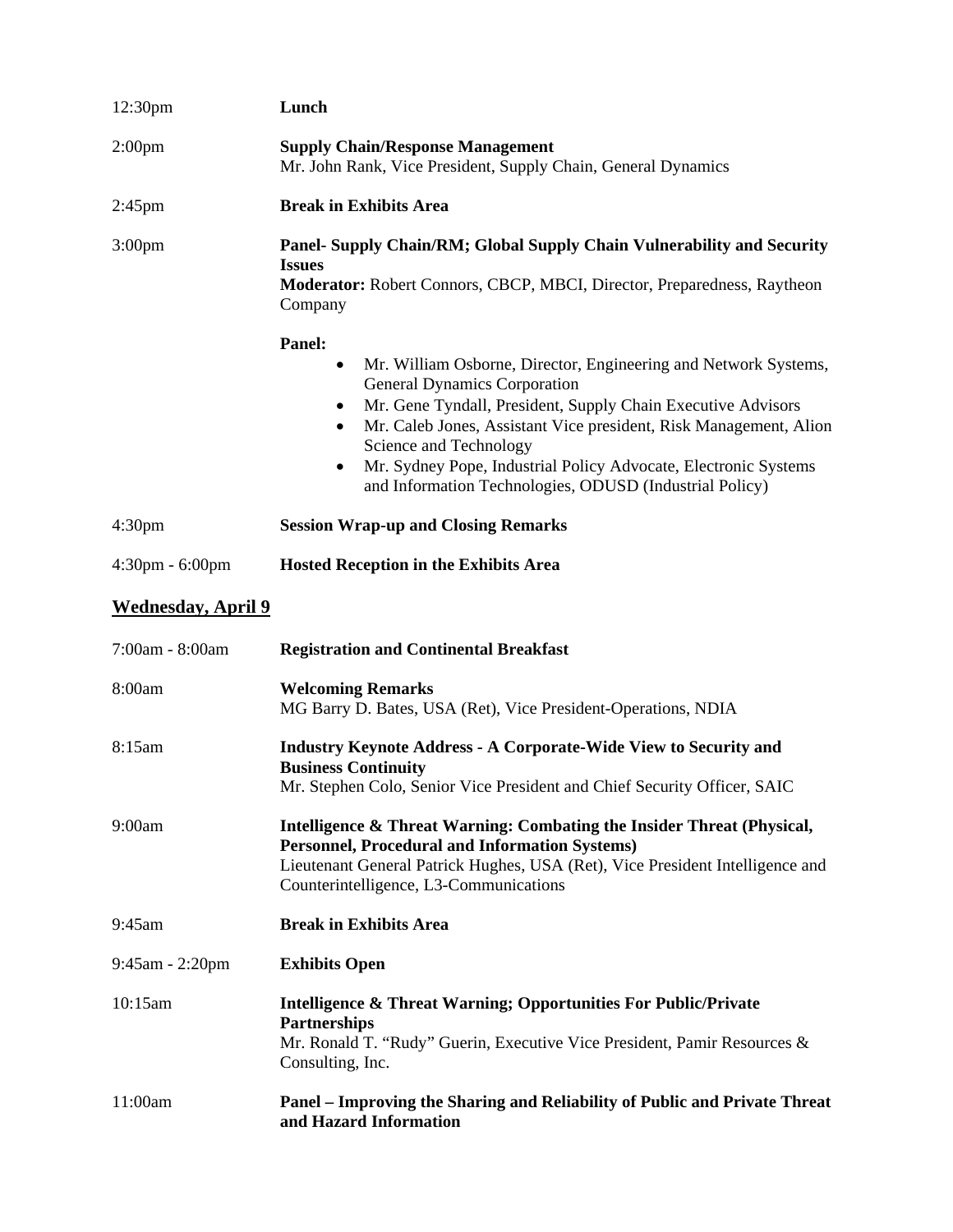| 12:30pm                           | Lunch                                                                                                                                                                                                                                                                                                                                                                                                                                                     |
|-----------------------------------|-----------------------------------------------------------------------------------------------------------------------------------------------------------------------------------------------------------------------------------------------------------------------------------------------------------------------------------------------------------------------------------------------------------------------------------------------------------|
| 2:00 <sub>pm</sub>                | <b>Supply Chain/Response Management</b><br>Mr. John Rank, Vice President, Supply Chain, General Dynamics                                                                                                                                                                                                                                                                                                                                                  |
| $2:45$ pm                         | <b>Break in Exhibits Area</b>                                                                                                                                                                                                                                                                                                                                                                                                                             |
| 3:00 <sub>pm</sub>                | Panel- Supply Chain/RM; Global Supply Chain Vulnerability and Security<br><b>Issues</b><br>Moderator: Robert Connors, CBCP, MBCI, Director, Preparedness, Raytheon<br>Company                                                                                                                                                                                                                                                                             |
|                                   | Panel:<br>Mr. William Osborne, Director, Engineering and Network Systems,<br>$\bullet$<br><b>General Dynamics Corporation</b><br>Mr. Gene Tyndall, President, Supply Chain Executive Advisors<br>٠<br>Mr. Caleb Jones, Assistant Vice president, Risk Management, Alion<br>$\bullet$<br>Science and Technology<br>Mr. Sydney Pope, Industrial Policy Advocate, Electronic Systems<br>$\bullet$<br>and Information Technologies, ODUSD (Industrial Policy) |
| 4:30 <sub>pm</sub>                | <b>Session Wrap-up and Closing Remarks</b>                                                                                                                                                                                                                                                                                                                                                                                                                |
| $4:30 \text{pm} - 6:00 \text{pm}$ | <b>Hosted Reception in the Exhibits Area</b>                                                                                                                                                                                                                                                                                                                                                                                                              |
| <b>Wednesday, April 9</b>         |                                                                                                                                                                                                                                                                                                                                                                                                                                                           |
| 7:00am - 8:00am                   | <b>Registration and Continental Breakfast</b>                                                                                                                                                                                                                                                                                                                                                                                                             |
| 8:00am                            | <b>Welcoming Remarks</b><br>MG Barry D. Bates, USA (Ret), Vice President-Operations, NDIA                                                                                                                                                                                                                                                                                                                                                                 |
| 8:15am                            | <b>Industry Keynote Address - A Corporate-Wide View to Security and</b><br><b>Business Continuity</b><br>Mr. Stephen Colo, Senior Vice President and Chief Security Officer, SAIC                                                                                                                                                                                                                                                                         |
| 9:00am                            | Intelligence & Threat Warning: Combating the Insider Threat (Physical,<br><b>Personnel, Procedural and Information Systems)</b><br>Lieutenant General Patrick Hughes, USA (Ret), Vice President Intelligence and<br>Counterintelligence, L3-Communications                                                                                                                                                                                                |
| 9:45am                            | <b>Break in Exhibits Area</b>                                                                                                                                                                                                                                                                                                                                                                                                                             |
| $9:45$ am - 2:20pm                | <b>Exhibits Open</b>                                                                                                                                                                                                                                                                                                                                                                                                                                      |
| 10:15am                           | Intelligence & Threat Warning; Opportunities For Public/Private<br><b>Partnerships</b><br>Mr. Ronald T. "Rudy" Guerin, Executive Vice President, Pamir Resources &<br>Consulting, Inc.                                                                                                                                                                                                                                                                    |
| 11:00am                           | Panel - Improving the Sharing and Reliability of Public and Private Threat<br>and Hazard Information                                                                                                                                                                                                                                                                                                                                                      |